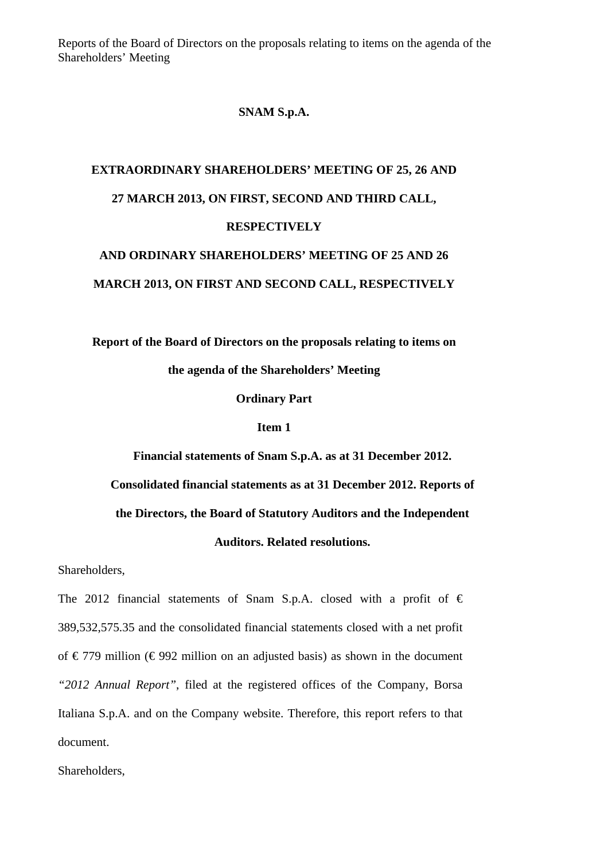Reports of the Board of Directors on the proposals relating to items on the agenda of the Shareholders' Meeting

### **SNAM S.p.A.**

## **EXTRAORDINARY SHAREHOLDERS' MEETING OF 25, 26 AND 27 MARCH 2013, ON FIRST, SECOND AND THIRD CALL, RESPECTIVELY AND ORDINARY SHAREHOLDERS' MEETING OF 25 AND 26**

# **MARCH 2013, ON FIRST AND SECOND CALL, RESPECTIVELY**

**Report of the Board of Directors on the proposals relating to items on the agenda of the Shareholders' Meeting** 

**Ordinary Part** 

#### **Item 1**

**Financial statements of Snam S.p.A. as at 31 December 2012.** 

**Consolidated financial statements as at 31 December 2012. Reports of** 

**the Directors, the Board of Statutory Auditors and the Independent** 

### **Auditors. Related resolutions.**

Shareholders,

The 2012 financial statements of Snam S.p.A. closed with a profit of  $\epsilon$ 389,532,575.35 and the consolidated financial statements closed with a net profit of €779 million (€992 million on an adjusted basis) as shown in the document *"2012 Annual Report"*, filed at the registered offices of the Company, Borsa Italiana S.p.A. and on the Company website. Therefore, this report refers to that document.

Shareholders,